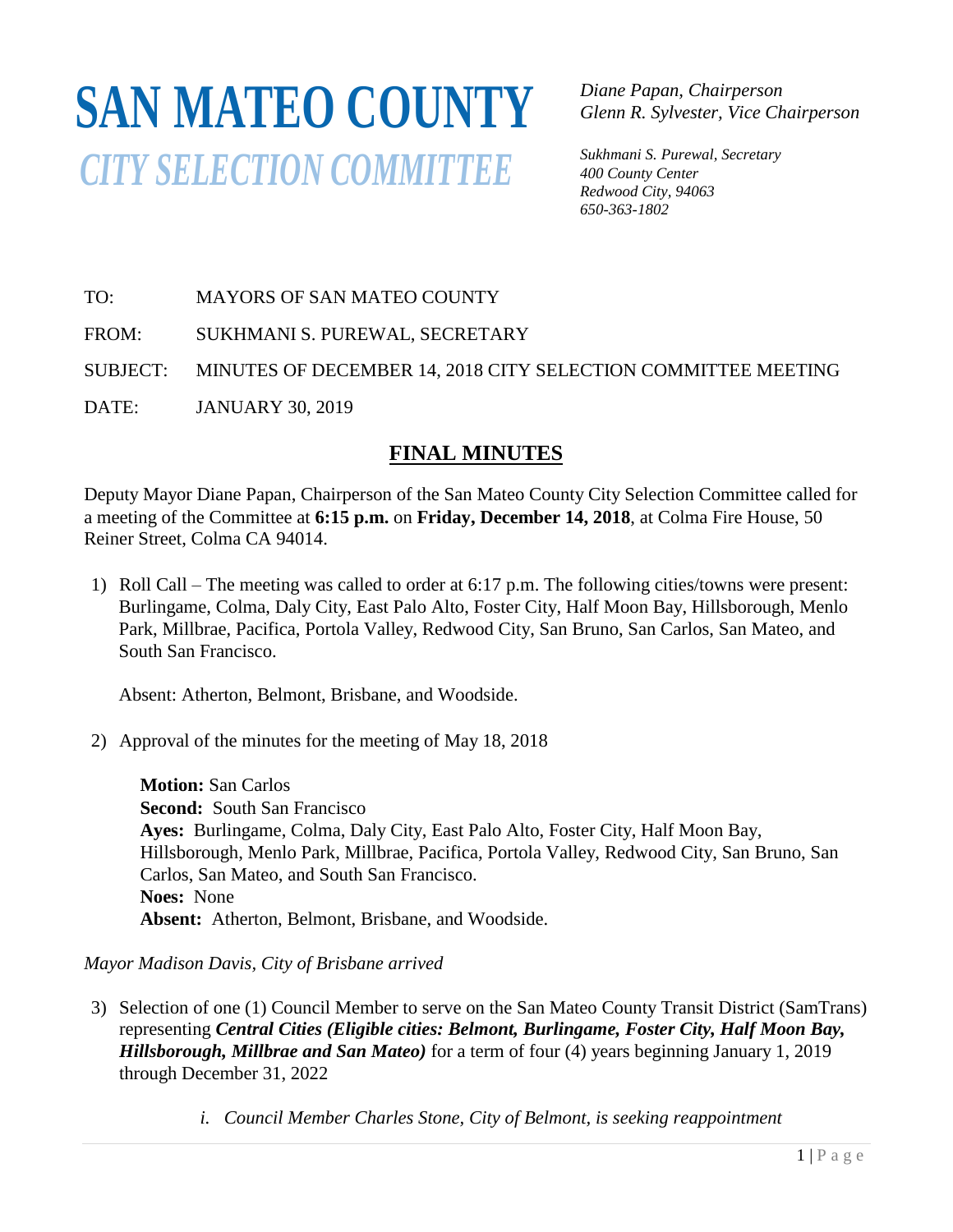# **SAN MATEO COUNTY** *CITY SELECTION COMMITTEE*

*Diane Papan, Chairperson Glenn R. Sylvester, Vice Chairperson*

*Sukhmani S. Purewal, Secretary 400 County Center Redwood City, 94063 650-363-1802*

TO: MAYORS OF SAN MATEO COUNTY

FROM: SUKHMANI S. PUREWAL, SECRETARY

SUBJECT: MINUTES OF DECEMBER 14, 2018 CITY SELECTION COMMITTEE MEETING

BOBJECT. MINOTES OF BECENT

## **FINAL MINUTES** EXTERNAL METAL SELECTION COMMITTEE

Deputy Mayor Diane Papan, Chairperson of the San Mateo County City Selection Committee called for *650-363-4124*a meeting of the Committee at **6:15 p.m.** on **Friday, December 14, 2018**, at Colma Fire House, 50 Reiner Street, Colma CA 94014.

1) Roll Call – The meeting was called to order at 6:17 p.m. The following cities/towns were present: Burlingame, Colma, Daly City, East Palo Alto, Foster City, Half Moon Bay, Hillsborough, Menlo Park, Millbrae, Pacifica, Portola Valley, Redwood City, San Bruno, San Carlos, San Mateo, and South San Francisco.

Absent: Atherton, Belmont, Brisbane, and Woodside.

2) Approval of the minutes for the meeting of May 18, 2018

**Motion:** San Carlos **Second:** South San Francisco **Ayes:** Burlingame, Colma, Daly City, East Palo Alto, Foster City, Half Moon Bay, Hillsborough, Menlo Park, Millbrae, Pacifica, Portola Valley, Redwood City, San Bruno, San Carlos, San Mateo, and South San Francisco. **Noes:** None **Absent:** Atherton, Belmont, Brisbane, and Woodside.

## *Mayor Madison Davis, City of Brisbane arrived*

- 3) Selection of one (1) Council Member to serve on the San Mateo County Transit District (SamTrans) representing *Central Cities (Eligible cities: Belmont, Burlingame, Foster City, Half Moon Bay, Hillsborough, Millbrae and San Mateo)* for a term of four (4) years beginning January 1, 2019 through December 31, 2022
	- *i. Council Member Charles Stone, City of Belmont, is seeking reappointment*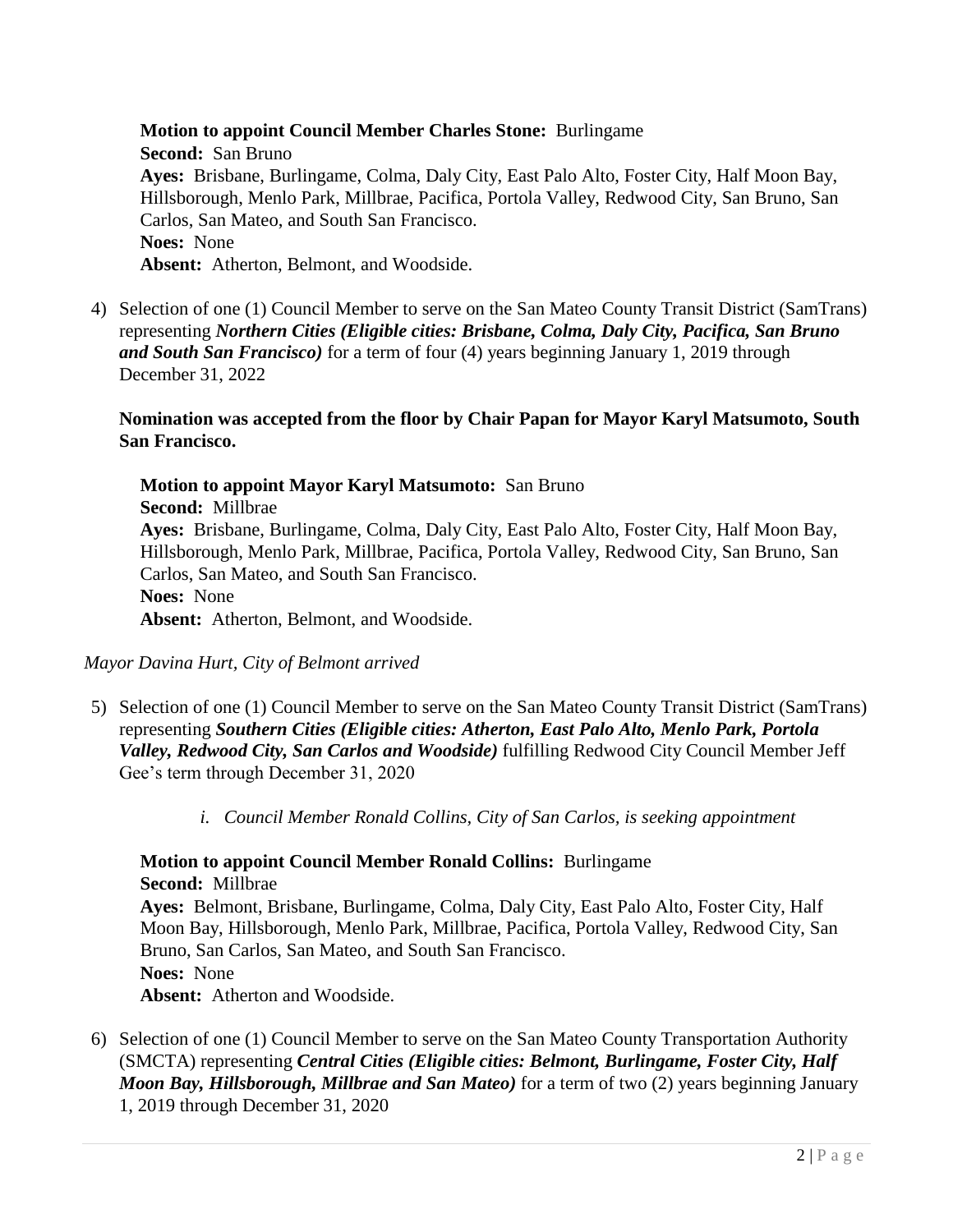**Motion to appoint Council Member Charles Stone:** Burlingame **Second:** San Bruno **Ayes:** Brisbane, Burlingame, Colma, Daly City, East Palo Alto, Foster City, Half Moon Bay, Hillsborough, Menlo Park, Millbrae, Pacifica, Portola Valley, Redwood City, San Bruno, San Carlos, San Mateo, and South San Francisco. **Noes:** None **Absent:** Atherton, Belmont, and Woodside.

4) Selection of one (1) Council Member to serve on the San Mateo County Transit District (SamTrans) representing *Northern Cities (Eligible cities: Brisbane, Colma, Daly City, Pacifica, San Bruno and South San Francisco*) for a term of four (4) years beginning January 1, 2019 through December 31, 2022

**Nomination was accepted from the floor by Chair Papan for Mayor Karyl Matsumoto, South San Francisco.**

**Motion to appoint Mayor Karyl Matsumoto:** San Bruno **Second:** Millbrae **Ayes:** Brisbane, Burlingame, Colma, Daly City, East Palo Alto, Foster City, Half Moon Bay, Hillsborough, Menlo Park, Millbrae, Pacifica, Portola Valley, Redwood City, San Bruno, San Carlos, San Mateo, and South San Francisco. **Noes:** None **Absent:** Atherton, Belmont, and Woodside.

## *Mayor Davina Hurt, City of Belmont arrived*

- 5) Selection of one (1) Council Member to serve on the San Mateo County Transit District (SamTrans) representing *Southern Cities (Eligible cities: Atherton, East Palo Alto, Menlo Park, Portola Valley, Redwood City, San Carlos and Woodside)* fulfilling Redwood City Council Member Jeff Gee's term through December 31, 2020
	- *i. Council Member Ronald Collins, City of San Carlos, is seeking appointment*

## **Motion to appoint Council Member Ronald Collins:** Burlingame **Second:** Millbrae

**Ayes:** Belmont, Brisbane, Burlingame, Colma, Daly City, East Palo Alto, Foster City, Half Moon Bay, Hillsborough, Menlo Park, Millbrae, Pacifica, Portola Valley, Redwood City, San Bruno, San Carlos, San Mateo, and South San Francisco. **Noes:** None **Absent:** Atherton and Woodside.

6) Selection of one (1) Council Member to serve on the San Mateo County Transportation Authority (SMCTA) representing *Central Cities (Eligible cities: Belmont, Burlingame, Foster City, Half Moon Bay, Hillsborough, Millbrae and San Mateo)* for a term of two (2) years beginning January 1, 2019 through December 31, 2020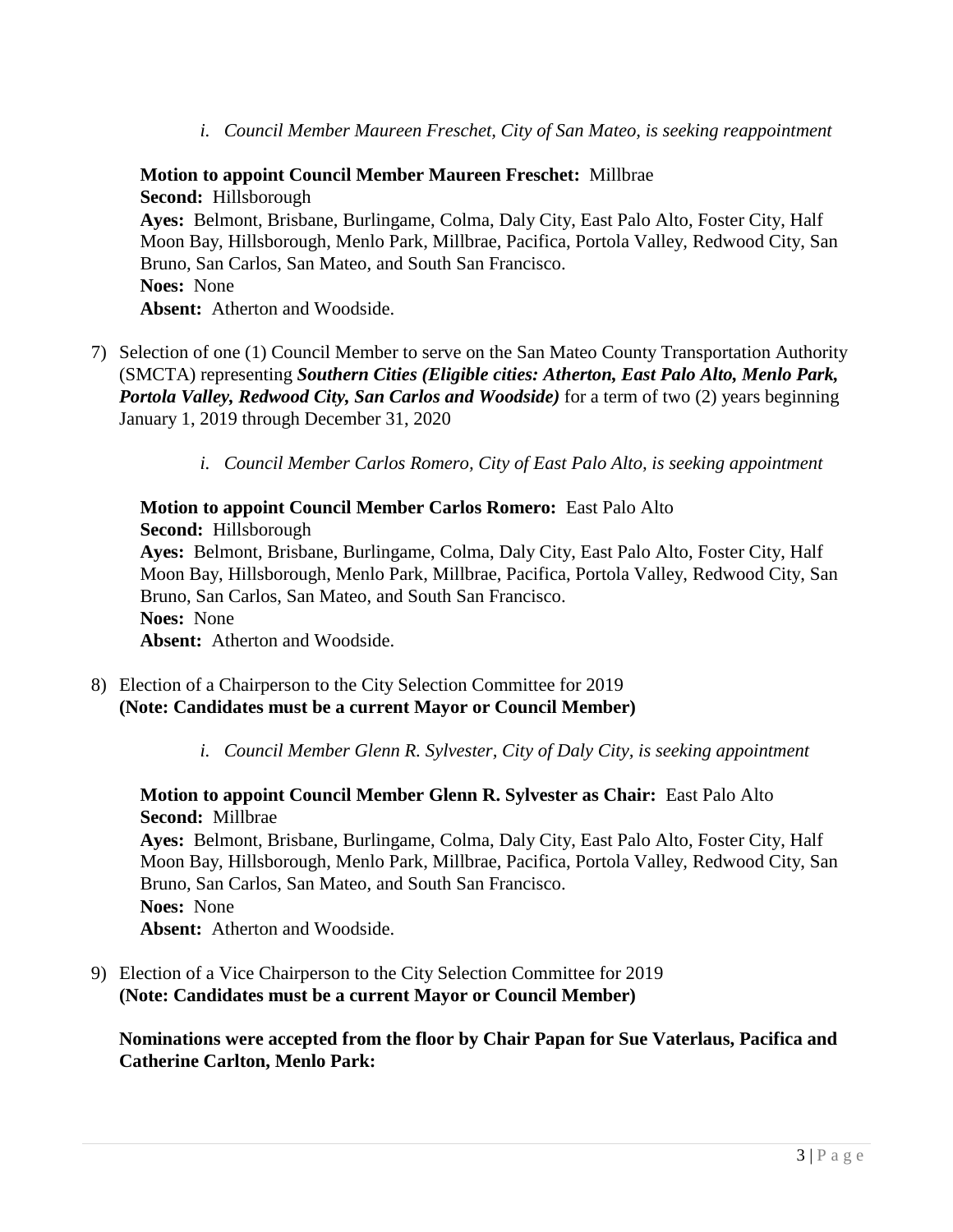*i. Council Member Maureen Freschet, City of San Mateo, is seeking reappointment*

**Motion to appoint Council Member Maureen Freschet:** Millbrae **Second:** Hillsborough **Ayes:** Belmont, Brisbane, Burlingame, Colma, Daly City, East Palo Alto, Foster City, Half Moon Bay, Hillsborough, Menlo Park, Millbrae, Pacifica, Portola Valley, Redwood City, San Bruno, San Carlos, San Mateo, and South San Francisco. **Noes:** None **Absent:** Atherton and Woodside.

- 7) Selection of one (1) Council Member to serve on the San Mateo County Transportation Authority (SMCTA) representing *Southern Cities (Eligible cities: Atherton, East Palo Alto, Menlo Park, Portola Valley, Redwood City, San Carlos and Woodside)* for a term of two (2) years beginning January 1, 2019 through December 31, 2020
	- *i. Council Member Carlos Romero, City of East Palo Alto, is seeking appointment*

#### **Motion to appoint Council Member Carlos Romero:** East Palo Alto **Second:** Hillsborough **Ayes:** Belmont, Brisbane, Burlingame, Colma, Daly City, East Palo Alto, Foster City, Half

Moon Bay, Hillsborough, Menlo Park, Millbrae, Pacifica, Portola Valley, Redwood City, San Bruno, San Carlos, San Mateo, and South San Francisco. **Noes:** None

**Absent:** Atherton and Woodside.

- 8) Election of a Chairperson to the City Selection Committee for 2019 **(Note: Candidates must be a current Mayor or Council Member)**
	- *i. Council Member Glenn R. Sylvester, City of Daly City, is seeking appointment*

## **Motion to appoint Council Member Glenn R. Sylvester as Chair:** East Palo Alto **Second:** Millbrae

**Ayes:** Belmont, Brisbane, Burlingame, Colma, Daly City, East Palo Alto, Foster City, Half Moon Bay, Hillsborough, Menlo Park, Millbrae, Pacifica, Portola Valley, Redwood City, San Bruno, San Carlos, San Mateo, and South San Francisco. **Noes:** None **Absent:** Atherton and Woodside.

9) Election of a Vice Chairperson to the City Selection Committee for 2019 **(Note: Candidates must be a current Mayor or Council Member)**

**Nominations were accepted from the floor by Chair Papan for Sue Vaterlaus, Pacifica and Catherine Carlton, Menlo Park:**